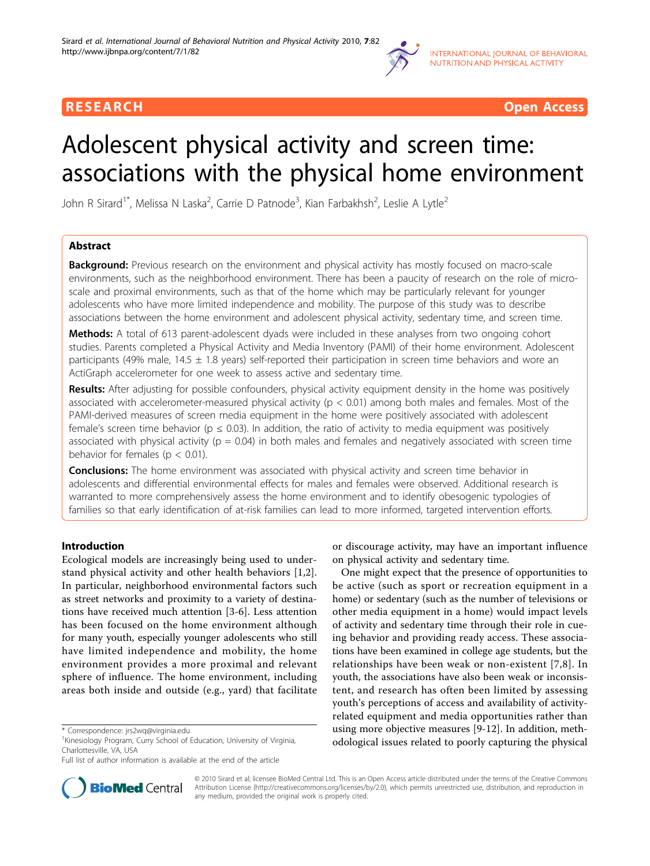



# Adolescent physical activity and screen time: associations with the physical home environment

John R Sirard<sup>1\*</sup>, Melissa N Laska<sup>2</sup>, Carrie D Patnode<sup>3</sup>, Kian Farbakhsh<sup>2</sup>, Leslie A Lytle<sup>2</sup>

# Abstract

**Background:** Previous research on the environment and physical activity has mostly focused on macro-scale environments, such as the neighborhood environment. There has been a paucity of research on the role of microscale and proximal environments, such as that of the home which may be particularly relevant for younger adolescents who have more limited independence and mobility. The purpose of this study was to describe associations between the home environment and adolescent physical activity, sedentary time, and screen time.

**Methods:** A total of 613 parent-adolescent dyads were included in these analyses from two ongoing cohort studies. Parents completed a Physical Activity and Media Inventory (PAMI) of their home environment. Adolescent participants (49% male,  $14.5 \pm 1.8$  years) self-reported their participation in screen time behaviors and wore an ActiGraph accelerometer for one week to assess active and sedentary time.

Results: After adjusting for possible confounders, physical activity equipment density in the home was positively associated with accelerometer-measured physical activity ( $p < 0.01$ ) among both males and females. Most of the PAMI-derived measures of screen media equipment in the home were positively associated with adolescent female's screen time behavior ( $p \le 0.03$ ). In addition, the ratio of activity to media equipment was positively associated with physical activity ( $p = 0.04$ ) in both males and females and negatively associated with screen time behavior for females ( $p < 0.01$ ).

Conclusions: The home environment was associated with physical activity and screen time behavior in adolescents and differential environmental effects for males and females were observed. Additional research is warranted to more comprehensively assess the home environment and to identify obesogenic typologies of families so that early identification of at-risk families can lead to more informed, targeted intervention efforts.

# Introduction

Ecological models are increasingly being used to understand physical activity and other health behaviors [[1,2](#page-7-0)]. In particular, neighborhood environmental factors such as street networks and proximity to a variety of destinations have received much attention [\[3](#page-7-0)-[6\]](#page-7-0). Less attention has been focused on the home environment although for many youth, especially younger adolescents who still have limited independence and mobility, the home environment provides a more proximal and relevant sphere of influence. The home environment, including areas both inside and outside (e.g., yard) that facilitate



One might expect that the presence of opportunities to be active (such as sport or recreation equipment in a home) or sedentary (such as the number of televisions or other media equipment in a home) would impact levels of activity and sedentary time through their role in cueing behavior and providing ready access. These associations have been examined in college age students, but the relationships have been weak or non-existent [[7](#page-7-0),[8\]](#page-7-0). In youth, the associations have also been weak or inconsistent, and research has often been limited by assessing youth's perceptions of access and availability of activityrelated equipment and media opportunities rather than using more objective measures [[9-12](#page-7-0)]. In addition, methodological issues related to poorly capturing the physical



© 2010 Sirard et al; licensee BioMed Central Ltd. This is an Open Access article distributed under the terms of the Creative Commons Attribution License [\(http://creativecommons.org/licenses/by/2.0](http://creativecommons.org/licenses/by/2.0)), which permits unrestricted use, distribution, and reproduction in any medium, provided the original work is properly cited.

<sup>\*</sup> Correspondence: [jrs2wq@virginia.edu](mailto:jrs2wq@virginia.edu)

<sup>&</sup>lt;sup>1</sup> Kinesiology Program, Curry School of Education, University of Virginia, Charlottesville, VA, USA

Full list of author information is available at the end of the article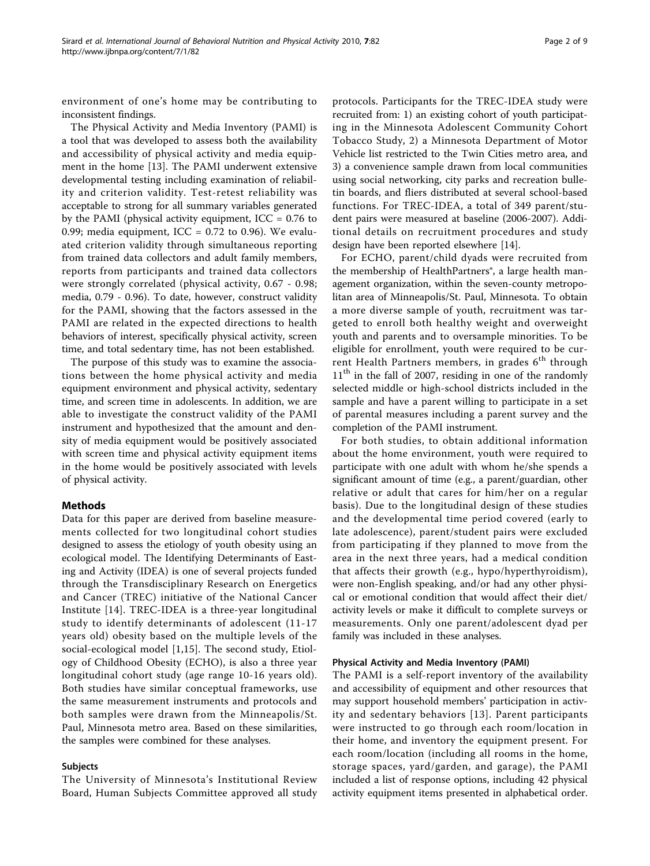environment of one's home may be contributing to inconsistent findings.

The Physical Activity and Media Inventory (PAMI) is a tool that was developed to assess both the availability and accessibility of physical activity and media equipment in the home [[13\]](#page-7-0). The PAMI underwent extensive developmental testing including examination of reliability and criterion validity. Test-retest reliability was acceptable to strong for all summary variables generated by the PAMI (physical activity equipment,  $ICC = 0.76$  to 0.99; media equipment, ICC =  $0.72$  to 0.96). We evaluated criterion validity through simultaneous reporting from trained data collectors and adult family members, reports from participants and trained data collectors were strongly correlated (physical activity, 0.67 - 0.98; media, 0.79 - 0.96). To date, however, construct validity for the PAMI, showing that the factors assessed in the PAMI are related in the expected directions to health behaviors of interest, specifically physical activity, screen time, and total sedentary time, has not been established.

The purpose of this study was to examine the associations between the home physical activity and media equipment environment and physical activity, sedentary time, and screen time in adolescents. In addition, we are able to investigate the construct validity of the PAMI instrument and hypothesized that the amount and density of media equipment would be positively associated with screen time and physical activity equipment items in the home would be positively associated with levels of physical activity.

# Methods

Data for this paper are derived from baseline measurements collected for two longitudinal cohort studies designed to assess the etiology of youth obesity using an ecological model. The Identifying Determinants of Easting and Activity (IDEA) is one of several projects funded through the Transdisciplinary Research on Energetics and Cancer (TREC) initiative of the National Cancer Institute [\[14](#page-7-0)]. TREC-IDEA is a three-year longitudinal study to identify determinants of adolescent (11-17 years old) obesity based on the multiple levels of the social-ecological model [[1,15](#page-7-0)]. The second study, Etiology of Childhood Obesity (ECHO), is also a three year longitudinal cohort study (age range 10-16 years old). Both studies have similar conceptual frameworks, use the same measurement instruments and protocols and both samples were drawn from the Minneapolis/St. Paul, Minnesota metro area. Based on these similarities, the samples were combined for these analyses.

# Subjects

The University of Minnesota's Institutional Review Board, Human Subjects Committee approved all study protocols. Participants for the TREC-IDEA study were recruited from: 1) an existing cohort of youth participating in the Minnesota Adolescent Community Cohort Tobacco Study, 2) a Minnesota Department of Motor Vehicle list restricted to the Twin Cities metro area, and 3) a convenience sample drawn from local communities using social networking, city parks and recreation bulletin boards, and fliers distributed at several school-based functions. For TREC-IDEA, a total of 349 parent/student pairs were measured at baseline (2006-2007). Additional details on recruitment procedures and study design have been reported elsewhere [\[14\]](#page-7-0).

For ECHO, parent/child dyads were recruited from the membership of HealthPartners®, a large health management organization, within the seven-county metropolitan area of Minneapolis/St. Paul, Minnesota. To obtain a more diverse sample of youth, recruitment was targeted to enroll both healthy weight and overweight youth and parents and to oversample minorities. To be eligible for enrollment, youth were required to be current Health Partners members, in grades 6<sup>th</sup> through  $11<sup>th</sup>$  in the fall of 2007, residing in one of the randomly selected middle or high-school districts included in the sample and have a parent willing to participate in a set of parental measures including a parent survey and the completion of the PAMI instrument.

For both studies, to obtain additional information about the home environment, youth were required to participate with one adult with whom he/she spends a significant amount of time (e.g., a parent/guardian, other relative or adult that cares for him/her on a regular basis). Due to the longitudinal design of these studies and the developmental time period covered (early to late adolescence), parent/student pairs were excluded from participating if they planned to move from the area in the next three years, had a medical condition that affects their growth (e.g., hypo/hyperthyroidism), were non-English speaking, and/or had any other physical or emotional condition that would affect their diet/ activity levels or make it difficult to complete surveys or measurements. Only one parent/adolescent dyad per family was included in these analyses.

#### Physical Activity and Media Inventory (PAMI)

The PAMI is a self-report inventory of the availability and accessibility of equipment and other resources that may support household members' participation in activity and sedentary behaviors [[13\]](#page-7-0). Parent participants were instructed to go through each room/location in their home, and inventory the equipment present. For each room/location (including all rooms in the home, storage spaces, yard/garden, and garage), the PAMI included a list of response options, including 42 physical activity equipment items presented in alphabetical order.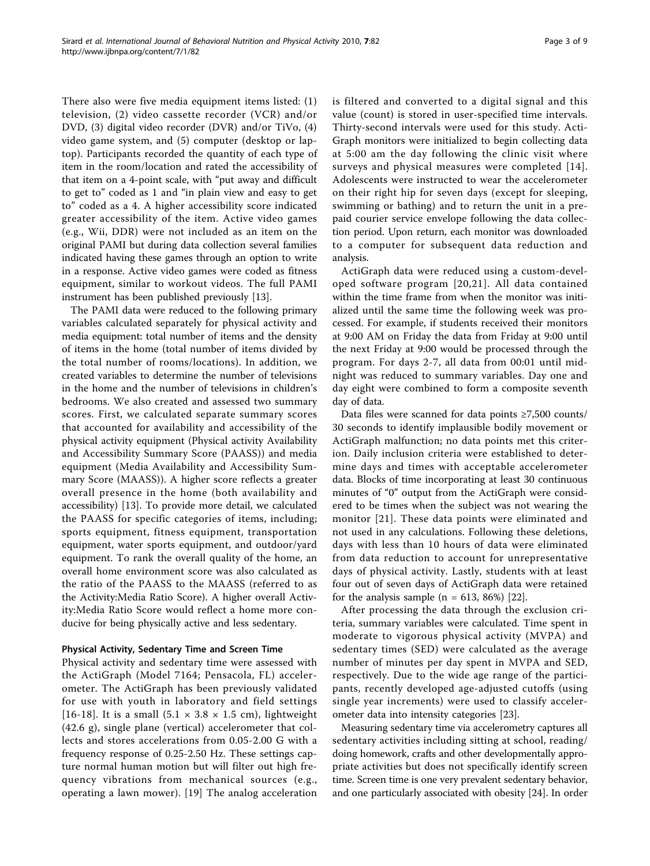There also were five media equipment items listed: (1) television, (2) video cassette recorder (VCR) and/or DVD, (3) digital video recorder (DVR) and/or TiVo, (4) video game system, and (5) computer (desktop or laptop). Participants recorded the quantity of each type of item in the room/location and rated the accessibility of that item on a 4-point scale, with "put away and difficult to get to" coded as 1 and "in plain view and easy to get to" coded as a 4. A higher accessibility score indicated greater accessibility of the item. Active video games (e.g., Wii, DDR) were not included as an item on the original PAMI but during data collection several families indicated having these games through an option to write in a response. Active video games were coded as fitness equipment, similar to workout videos. The full PAMI instrument has been published previously [\[13\]](#page-7-0).

The PAMI data were reduced to the following primary variables calculated separately for physical activity and media equipment: total number of items and the density of items in the home (total number of items divided by the total number of rooms/locations). In addition, we created variables to determine the number of televisions in the home and the number of televisions in children's bedrooms. We also created and assessed two summary scores. First, we calculated separate summary scores that accounted for availability and accessibility of the physical activity equipment (Physical activity Availability and Accessibility Summary Score (PAASS)) and media equipment (Media Availability and Accessibility Summary Score (MAASS)). A higher score reflects a greater overall presence in the home (both availability and accessibility) [[13\]](#page-7-0). To provide more detail, we calculated the PAASS for specific categories of items, including; sports equipment, fitness equipment, transportation equipment, water sports equipment, and outdoor/yard equipment. To rank the overall quality of the home, an overall home environment score was also calculated as the ratio of the PAASS to the MAASS (referred to as the Activity:Media Ratio Score). A higher overall Activity:Media Ratio Score would reflect a home more conducive for being physically active and less sedentary.

#### Physical Activity, Sedentary Time and Screen Time

Physical activity and sedentary time were assessed with the ActiGraph (Model 7164; Pensacola, FL) accelerometer. The ActiGraph has been previously validated for use with youth in laboratory and field settings [[16](#page-7-0)-[18\]](#page-7-0). It is a small  $(5.1 \times 3.8 \times 1.5 \text{ cm})$ , lightweight (42.6 g), single plane (vertical) accelerometer that collects and stores accelerations from 0.05-2.00 G with a frequency response of 0.25-2.50 Hz. These settings capture normal human motion but will filter out high frequency vibrations from mechanical sources (e.g., operating a lawn mower). [\[19](#page-8-0)] The analog acceleration is filtered and converted to a digital signal and this value (count) is stored in user-specified time intervals. Thirty-second intervals were used for this study. Acti-Graph monitors were initialized to begin collecting data at 5:00 am the day following the clinic visit where surveys and physical measures were completed [[14\]](#page-7-0). Adolescents were instructed to wear the accelerometer on their right hip for seven days (except for sleeping, swimming or bathing) and to return the unit in a prepaid courier service envelope following the data collection period. Upon return, each monitor was downloaded to a computer for subsequent data reduction and analysis.

ActiGraph data were reduced using a custom-developed software program [[20,21](#page-8-0)]. All data contained within the time frame from when the monitor was initialized until the same time the following week was processed. For example, if students received their monitors at 9:00 AM on Friday the data from Friday at 9:00 until the next Friday at 9:00 would be processed through the program. For days 2-7, all data from 00:01 until midnight was reduced to summary variables. Day one and day eight were combined to form a composite seventh day of data.

Data files were scanned for data points ≥7,500 counts/ 30 seconds to identify implausible bodily movement or ActiGraph malfunction; no data points met this criterion. Daily inclusion criteria were established to determine days and times with acceptable accelerometer data. Blocks of time incorporating at least 30 continuous minutes of "0" output from the ActiGraph were considered to be times when the subject was not wearing the monitor [[21\]](#page-8-0). These data points were eliminated and not used in any calculations. Following these deletions, days with less than 10 hours of data were eliminated from data reduction to account for unrepresentative days of physical activity. Lastly, students with at least four out of seven days of ActiGraph data were retained for the analysis sample ( $n = 613, 86\%$ ) [[22](#page-8-0)].

After processing the data through the exclusion criteria, summary variables were calculated. Time spent in moderate to vigorous physical activity (MVPA) and sedentary times (SED) were calculated as the average number of minutes per day spent in MVPA and SED, respectively. Due to the wide age range of the participants, recently developed age-adjusted cutoffs (using single year increments) were used to classify accelerometer data into intensity categories [\[23\]](#page-8-0).

Measuring sedentary time via accelerometry captures all sedentary activities including sitting at school, reading/ doing homework, crafts and other developmentally appropriate activities but does not specifically identify screen time. Screen time is one very prevalent sedentary behavior, and one particularly associated with obesity [\[24](#page-8-0)]. In order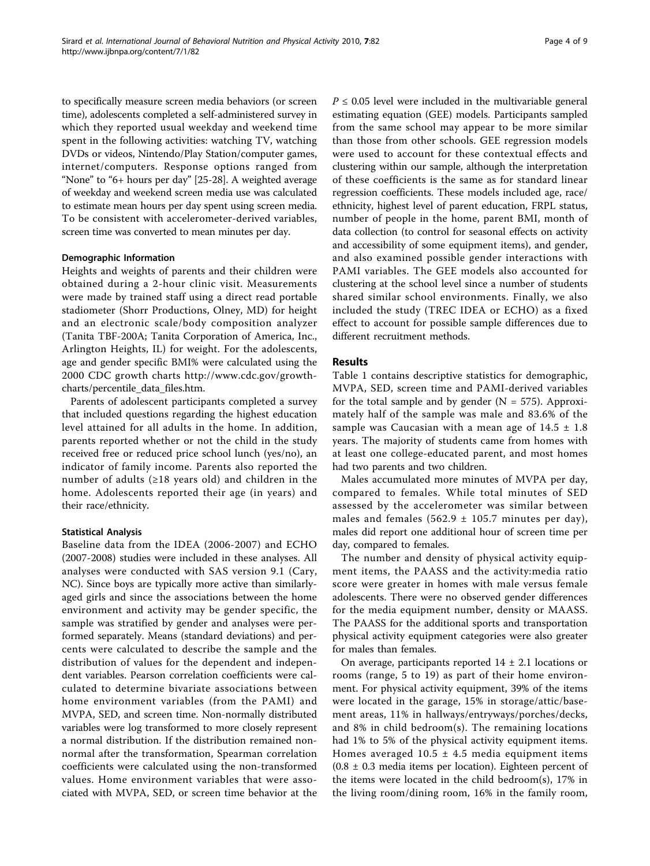to specifically measure screen media behaviors (or screen time), adolescents completed a self-administered survey in which they reported usual weekday and weekend time spent in the following activities: watching TV, watching DVDs or videos, Nintendo/Play Station/computer games, internet/computers. Response options ranged from "None" to "6+ hours per day" [\[25-28](#page-8-0)]. A weighted average of weekday and weekend screen media use was calculated to estimate mean hours per day spent using screen media. To be consistent with accelerometer-derived variables, screen time was converted to mean minutes per day.

#### Demographic Information

Heights and weights of parents and their children were obtained during a 2-hour clinic visit. Measurements were made by trained staff using a direct read portable stadiometer (Shorr Productions, Olney, MD) for height and an electronic scale/body composition analyzer (Tanita TBF-200A; Tanita Corporation of America, Inc., Arlington Heights, IL) for weight. For the adolescents, age and gender specific BMI% were calculated using the 2000 CDC growth charts [http://www.cdc.gov/growth](http://www.cdc.gov/growthcharts/percentile_data_files.htm)[charts/percentile\\_data\\_files.htm.](http://www.cdc.gov/growthcharts/percentile_data_files.htm)

Parents of adolescent participants completed a survey that included questions regarding the highest education level attained for all adults in the home. In addition, parents reported whether or not the child in the study received free or reduced price school lunch (yes/no), an indicator of family income. Parents also reported the number of adults  $(\geq 18$  years old) and children in the home. Adolescents reported their age (in years) and their race/ethnicity.

#### Statistical Analysis

Baseline data from the IDEA (2006-2007) and ECHO (2007-2008) studies were included in these analyses. All analyses were conducted with SAS version 9.1 (Cary, NC). Since boys are typically more active than similarlyaged girls and since the associations between the home environment and activity may be gender specific, the sample was stratified by gender and analyses were performed separately. Means (standard deviations) and percents were calculated to describe the sample and the distribution of values for the dependent and independent variables. Pearson correlation coefficients were calculated to determine bivariate associations between home environment variables (from the PAMI) and MVPA, SED, and screen time. Non-normally distributed variables were log transformed to more closely represent a normal distribution. If the distribution remained nonnormal after the transformation, Spearman correlation coefficients were calculated using the non-transformed values. Home environment variables that were associated with MVPA, SED, or screen time behavior at the  $P \le 0.05$  level were included in the multivariable general estimating equation (GEE) models. Participants sampled from the same school may appear to be more similar than those from other schools. GEE regression models were used to account for these contextual effects and clustering within our sample, although the interpretation of these coefficients is the same as for standard linear regression coefficients. These models included age, race/ ethnicity, highest level of parent education, FRPL status, number of people in the home, parent BMI, month of data collection (to control for seasonal effects on activity and accessibility of some equipment items), and gender, and also examined possible gender interactions with PAMI variables. The GEE models also accounted for clustering at the school level since a number of students shared similar school environments. Finally, we also included the study (TREC IDEA or ECHO) as a fixed effect to account for possible sample differences due to different recruitment methods.

# Results

Table [1](#page-4-0) contains descriptive statistics for demographic, MVPA, SED, screen time and PAMI-derived variables for the total sample and by gender  $(N = 575)$ . Approximately half of the sample was male and 83.6% of the sample was Caucasian with a mean age of  $14.5 \pm 1.8$ years. The majority of students came from homes with at least one college-educated parent, and most homes had two parents and two children.

Males accumulated more minutes of MVPA per day, compared to females. While total minutes of SED assessed by the accelerometer was similar between males and females  $(562.9 \pm 105.7 \text{ minutes per day})$ , males did report one additional hour of screen time per day, compared to females.

The number and density of physical activity equipment items, the PAASS and the activity:media ratio score were greater in homes with male versus female adolescents. There were no observed gender differences for the media equipment number, density or MAASS. The PAASS for the additional sports and transportation physical activity equipment categories were also greater for males than females.

On average, participants reported  $14 \pm 2.1$  locations or rooms (range, 5 to 19) as part of their home environment. For physical activity equipment, 39% of the items were located in the garage, 15% in storage/attic/basement areas, 11% in hallways/entryways/porches/decks, and 8% in child bedroom(s). The remaining locations had 1% to 5% of the physical activity equipment items. Homes averaged  $10.5 \pm 4.5$  media equipment items  $(0.8 \pm 0.3 \text{ media items per location})$ . Eighteen percent of the items were located in the child bedroom(s), 17% in the living room/dining room, 16% in the family room,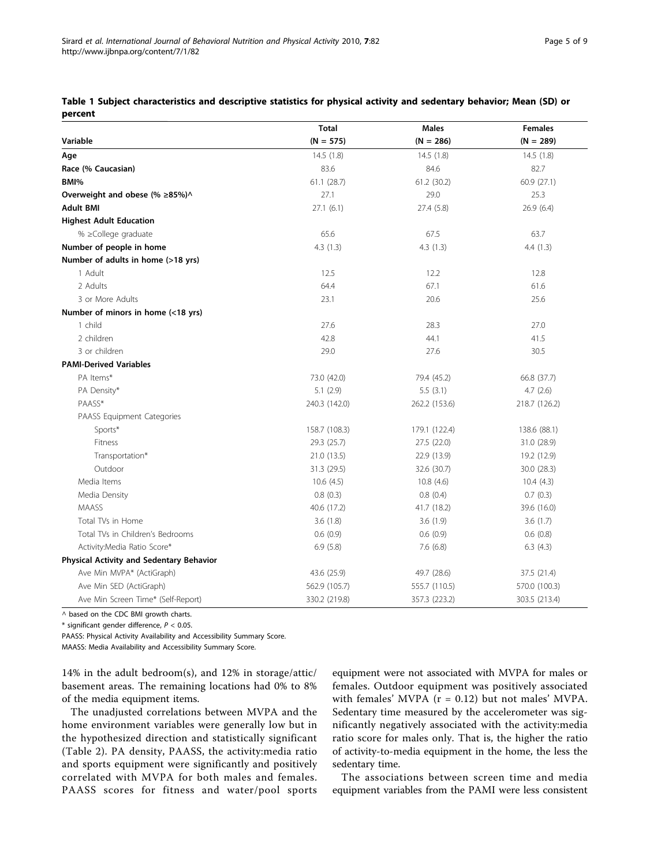#### <span id="page-4-0"></span>Table 1 Subject characteristics and descriptive statistics for physical activity and sedentary behavior; Mean (SD) or percent

|                                          | <b>Total</b>  | <b>Males</b>  |               |  |
|------------------------------------------|---------------|---------------|---------------|--|
| Variable                                 | $(N = 575)$   | $(N = 286)$   | $(N = 289)$   |  |
| Age                                      | 14.5(1.8)     | 14.5(1.8)     | 14.5(1.8)     |  |
| Race (% Caucasian)                       | 83.6          | 84.6          | 82.7          |  |
| BMI%                                     | 61.1(28.7)    | 61.2 (30.2)   | 60.9 (27.1)   |  |
| Overweight and obese (% ≥85%)^           | 27.1          | 29.0          | 25.3          |  |
| <b>Adult BMI</b>                         | 27.1(6.1)     | 27.4 (5.8)    | 26.9 (6.4)    |  |
| <b>Highest Adult Education</b>           |               |               |               |  |
| % ≥College graduate                      | 65.6          | 67.5          | 63.7          |  |
| Number of people in home                 | 4.3(1.3)      | 4.3(1.3)      | 4.4(1.3)      |  |
| Number of adults in home (>18 yrs)       |               |               |               |  |
| 1 Adult                                  | 12.5          | 12.2          | 12.8          |  |
| 2 Adults                                 | 64.4          | 67.1          | 61.6          |  |
| 3 or More Adults                         | 23.1          | 20.6          | 25.6          |  |
| Number of minors in home (<18 yrs)       |               |               |               |  |
| 1 child                                  | 27.6          | 28.3          | 27.0          |  |
| 2 children                               | 42.8          | 44.1          | 41.5          |  |
| 3 or children                            | 29.0          | 27.6          | 30.5          |  |
| <b>PAMI-Derived Variables</b>            |               |               |               |  |
| PA Items*                                | 73.0 (42.0)   | 79.4 (45.2)   | 66.8 (37.7)   |  |
| PA Density*                              | 5.1(2.9)      | 5.5(3.1)      | 4.7(2.6)      |  |
| PAASS*                                   | 240.3 (142.0) | 262.2 (153.6) | 218.7 (126.2) |  |
| PAASS Equipment Categories               |               |               |               |  |
| Sports*                                  | 158.7 (108.3) | 179.1 (122.4) | 138.6 (88.1)  |  |
| Fitness                                  | 29.3 (25.7)   | 27.5 (22.0)   | 31.0 (28.9)   |  |
| Transportation*                          | 21.0 (13.5)   | 22.9 (13.9)   | 19.2 (12.9)   |  |
| Outdoor                                  | 31.3 (29.5)   | 32.6 (30.7)   | 30.0 (28.3)   |  |
| Media Items                              | 10.6(4.5)     | 10.8(4.6)     | 10.4(4.3)     |  |
| Media Density                            | 0.8(0.3)      | 0.8(0.4)      | 0.7(0.3)      |  |
| <b>MAASS</b>                             | 40.6 (17.2)   | 41.7 (18.2)   | 39.6 (16.0)   |  |
| Total TVs in Home                        | 3.6(1.8)      | 3.6(1.9)      | 3.6(1.7)      |  |
| Total TVs in Children's Bedrooms         | 0.6(0.9)      | 0.6(0.9)      | 0.6(0.8)      |  |
| Activity:Media Ratio Score*              | 6.9(5.8)      | 7.6(6.8)      | 6.3(4.3)      |  |
| Physical Activity and Sedentary Behavior |               |               |               |  |
| Ave Min MVPA* (ActiGraph)                | 43.6 (25.9)   | 49.7 (28.6)   | 37.5 (21.4)   |  |
| Ave Min SED (ActiGraph)                  | 562.9 (105.7) | 555.7 (110.5) | 570.0 (100.3) |  |
| Ave Min Screen Time* (Self-Report)       | 330.2 (219.8) | 357.3 (223.2) | 303.5 (213.4) |  |

^ based on the CDC BMI growth charts.

 $*$  significant gender difference,  $P < 0.05$ .

PAASS: Physical Activity Availability and Accessibility Summary Score.

MAASS: Media Availability and Accessibility Summary Score.

14% in the adult bedroom(s), and 12% in storage/attic/ basement areas. The remaining locations had 0% to 8% of the media equipment items.

The unadjusted correlations between MVPA and the home environment variables were generally low but in the hypothesized direction and statistically significant (Table [2\)](#page-5-0). PA density, PAASS, the activity:media ratio and sports equipment were significantly and positively correlated with MVPA for both males and females. PAASS scores for fitness and water/pool sports

equipment were not associated with MVPA for males or females. Outdoor equipment was positively associated with females' MVPA  $(r = 0.12)$  but not males' MVPA. Sedentary time measured by the accelerometer was significantly negatively associated with the activity:media ratio score for males only. That is, the higher the ratio of activity-to-media equipment in the home, the less the sedentary time.

The associations between screen time and media equipment variables from the PAMI were less consistent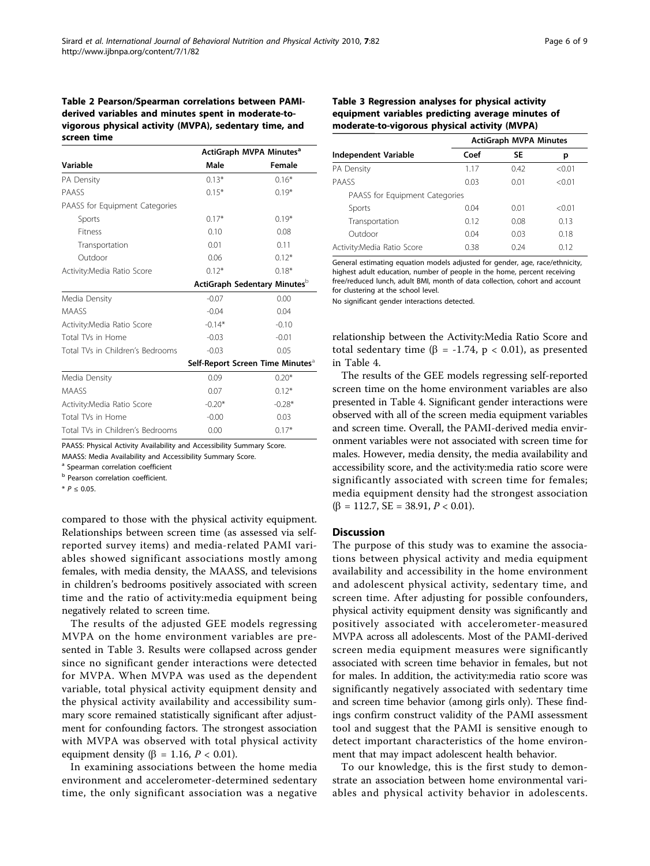### <span id="page-5-0"></span>Table 2 Pearson/Spearman correlations between PAMIderived variables and minutes spent in moderate-tovigorous physical activity (MVPA), sedentary time, and screen time

|                                  | ActiGraph MVPA Minutes <sup>a</sup>          |          |  |  |  |
|----------------------------------|----------------------------------------------|----------|--|--|--|
| Variable                         | Male                                         | Female   |  |  |  |
| PA Density                       | $0.13*$                                      | $0.16*$  |  |  |  |
| PAASS                            | $0.15*$                                      | $0.19*$  |  |  |  |
| PAASS for Equipment Categories   |                                              |          |  |  |  |
| Sports                           | $0.17*$                                      | $0.19*$  |  |  |  |
| <b>Fitness</b>                   | 0.10                                         | 0.08     |  |  |  |
| Transportation                   | 0.01                                         | 0.11     |  |  |  |
| Outdoor                          | 0.06                                         | $0.12*$  |  |  |  |
| Activity:Media Ratio Score       | $0.12*$                                      | $0.18*$  |  |  |  |
|                                  | ActiGraph Sedentary Minutes <sup>b</sup>     |          |  |  |  |
| Media Density                    | $-0.07$                                      | 0.00     |  |  |  |
| <b>MAASS</b>                     | $-0.04$                                      | 0.04     |  |  |  |
| Activity:Media Ratio Score       | $-0.14*$                                     | $-0.10$  |  |  |  |
| Total TVs in Home                | $-0.03$                                      | $-0.01$  |  |  |  |
| Total TVs in Children's Bedrooms | $-0.03$                                      | 0.05     |  |  |  |
|                                  | Self-Report Screen Time Minutes <sup>a</sup> |          |  |  |  |
| Media Density                    | 0.09                                         | $0.20*$  |  |  |  |
| <b>MAASS</b>                     | 0.07                                         | $0.12*$  |  |  |  |
| Activity:Media Ratio Score       | $-0.20*$                                     | $-0.28*$ |  |  |  |
| Total TVs in Home                | $-0.00$                                      | 0.03     |  |  |  |
| Total TVs in Children's Bedrooms | 0.00                                         | $0.17*$  |  |  |  |

PAASS: Physical Activity Availability and Accessibility Summary Score. MAASS: Media Availability and Accessibility Summary Score.

<sup>a</sup> Spearman correlation coefficient

**b** Pearson correlation coefficient.

 $*$   $P \le 0.05$ .

compared to those with the physical activity equipment. Relationships between screen time (as assessed via selfreported survey items) and media-related PAMI variables showed significant associations mostly among females, with media density, the MAASS, and televisions in children's bedrooms positively associated with screen time and the ratio of activity:media equipment being negatively related to screen time.

The results of the adjusted GEE models regressing MVPA on the home environment variables are presented in Table 3. Results were collapsed across gender since no significant gender interactions were detected for MVPA. When MVPA was used as the dependent variable, total physical activity equipment density and the physical activity availability and accessibility summary score remained statistically significant after adjustment for confounding factors. The strongest association with MVPA was observed with total physical activity equipment density ( $\beta$  = 1.16, *P* < 0.01).

In examining associations between the home media environment and accelerometer-determined sedentary time, the only significant association was a negative

# Table 3 Regression analyses for physical activity equipment variables predicting average minutes of moderate-to-vigorous physical activity (MVPA)

|                                | <b>ActiGraph MVPA Minutes</b> |      |        |  |
|--------------------------------|-------------------------------|------|--------|--|
| Independent Variable           | Coef                          | SΕ   | р      |  |
| PA Density                     | 1 1 7                         | 0.42 | < 0.01 |  |
| PAASS                          | 0.03                          | 0.01 | < 0.01 |  |
| PAASS for Equipment Categories |                               |      |        |  |
| Sports                         | 0.04                          | 0.01 | < 0.01 |  |
| Transportation                 | 0.12                          | 0.08 | 0.13   |  |
| Outdoor                        | 0.04                          | 0.03 | 0.18   |  |
| Activity:Media Ratio Score     | 0.38                          | 0.24 | 0.12   |  |

General estimating equation models adjusted for gender, age, race/ethnicity, highest adult education, number of people in the home, percent receiving free/reduced lunch, adult BMI, month of data collection, cohort and account for clustering at the school level.

No significant gender interactions detected.

relationship between the Activity:Media Ratio Score and total sedentary time ( $\beta$  = -1.74, p < 0.01), as presented in Table [4.](#page-6-0)

The results of the GEE models regressing self-reported screen time on the home environment variables are also presented in Table [4](#page-6-0). Significant gender interactions were observed with all of the screen media equipment variables and screen time. Overall, the PAMI-derived media environment variables were not associated with screen time for males. However, media density, the media availability and accessibility score, and the activity:media ratio score were significantly associated with screen time for females; media equipment density had the strongest association  $(\beta = 112.7, SE = 38.91, P < 0.01).$ 

#### **Discussion**

The purpose of this study was to examine the associations between physical activity and media equipment availability and accessibility in the home environment and adolescent physical activity, sedentary time, and screen time. After adjusting for possible confounders, physical activity equipment density was significantly and positively associated with accelerometer-measured MVPA across all adolescents. Most of the PAMI-derived screen media equipment measures were significantly associated with screen time behavior in females, but not for males. In addition, the activity:media ratio score was significantly negatively associated with sedentary time and screen time behavior (among girls only). These findings confirm construct validity of the PAMI assessment tool and suggest that the PAMI is sensitive enough to detect important characteristics of the home environment that may impact adolescent health behavior.

To our knowledge, this is the first study to demonstrate an association between home environmental variables and physical activity behavior in adolescents.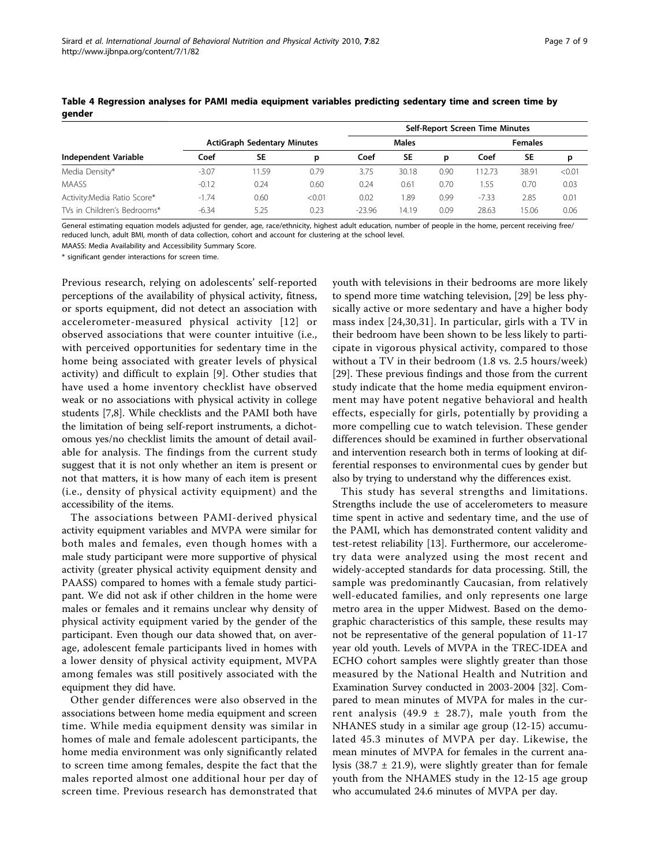|                              |                                    |           |              | Self-Report Screen Time Minutes |           |                |         |           |        |
|------------------------------|------------------------------------|-----------|--------------|---------------------------------|-----------|----------------|---------|-----------|--------|
|                              | <b>ActiGraph Sedentary Minutes</b> |           | <b>Males</b> |                                 |           | <b>Females</b> |         |           |        |
| Independent Variable         | Coef                               | <b>SE</b> | р            | Coef                            | <b>SE</b> | D              | Coef    | <b>SE</b> | p      |
| Media Density*               | $-3.07$                            | 1.59      | 0.79         | 3.75                            | 30.18     | 0.90           | 112.73  | 38.91     | < 0.01 |
| <b>MAASS</b>                 | $-0.12$                            | 0.24      | 0.60         | 0.24                            | 0.61      | 0.70           | .55     | 0.70      | 0.03   |
| Activity: Media Ratio Score* | $-1.74$                            | 0.60      | < 0.01       | 0.02                            | .89       | 0.99           | $-7.33$ | 2.85      | 0.01   |
| TVs in Children's Bedrooms*  | $-6.34$                            | 5.25      | 0.23         | $-23.96$                        | 14.19     | 0.09           | 28.63   | 15.06     | 0.06   |

<span id="page-6-0"></span>Table 4 Regression analyses for PAMI media equipment variables predicting sedentary time and screen time by gender

General estimating equation models adjusted for gender, age, race/ethnicity, highest adult education, number of people in the home, percent receiving free/ reduced lunch, adult BMI, month of data collection, cohort and account for clustering at the school level.

MAASS: Media Availability and Accessibility Summary Score.

\* significant gender interactions for screen time.

Previous research, relying on adolescents' self-reported perceptions of the availability of physical activity, fitness, or sports equipment, did not detect an association with accelerometer-measured physical activity [[12\]](#page-7-0) or observed associations that were counter intuitive (i.e., with perceived opportunities for sedentary time in the home being associated with greater levels of physical activity) and difficult to explain [[9\]](#page-7-0). Other studies that have used a home inventory checklist have observed weak or no associations with physical activity in college students [\[7,8](#page-7-0)]. While checklists and the PAMI both have the limitation of being self-report instruments, a dichotomous yes/no checklist limits the amount of detail available for analysis. The findings from the current study suggest that it is not only whether an item is present or not that matters, it is how many of each item is present (i.e., density of physical activity equipment) and the accessibility of the items.

The associations between PAMI-derived physical activity equipment variables and MVPA were similar for both males and females, even though homes with a male study participant were more supportive of physical activity (greater physical activity equipment density and PAASS) compared to homes with a female study participant. We did not ask if other children in the home were males or females and it remains unclear why density of physical activity equipment varied by the gender of the participant. Even though our data showed that, on average, adolescent female participants lived in homes with a lower density of physical activity equipment, MVPA among females was still positively associated with the equipment they did have.

Other gender differences were also observed in the associations between home media equipment and screen time. While media equipment density was similar in homes of male and female adolescent participants, the home media environment was only significantly related to screen time among females, despite the fact that the males reported almost one additional hour per day of screen time. Previous research has demonstrated that youth with televisions in their bedrooms are more likely to spend more time watching television, [[29](#page-8-0)] be less physically active or more sedentary and have a higher body mass index [[24](#page-8-0),[30,31](#page-8-0)]. In particular, girls with a TV in their bedroom have been shown to be less likely to participate in vigorous physical activity, compared to those without a TV in their bedroom (1.8 vs. 2.5 hours/week) [[29\]](#page-8-0). These previous findings and those from the current study indicate that the home media equipment environment may have potent negative behavioral and health effects, especially for girls, potentially by providing a more compelling cue to watch television. These gender differences should be examined in further observational and intervention research both in terms of looking at differential responses to environmental cues by gender but also by trying to understand why the differences exist.

This study has several strengths and limitations. Strengths include the use of accelerometers to measure time spent in active and sedentary time, and the use of the PAMI, which has demonstrated content validity and test-retest reliability [\[13](#page-7-0)]. Furthermore, our accelerometry data were analyzed using the most recent and widely-accepted standards for data processing. Still, the sample was predominantly Caucasian, from relatively well-educated families, and only represents one large metro area in the upper Midwest. Based on the demographic characteristics of this sample, these results may not be representative of the general population of 11-17 year old youth. Levels of MVPA in the TREC-IDEA and ECHO cohort samples were slightly greater than those measured by the National Health and Nutrition and Examination Survey conducted in 2003-2004 [[32](#page-8-0)]. Compared to mean minutes of MVPA for males in the current analysis (49.9  $\pm$  28.7), male youth from the NHANES study in a similar age group (12-15) accumulated 45.3 minutes of MVPA per day. Likewise, the mean minutes of MVPA for females in the current analysis  $(38.7 \pm 21.9)$ , were slightly greater than for female youth from the NHAMES study in the 12-15 age group who accumulated 24.6 minutes of MVPA per day.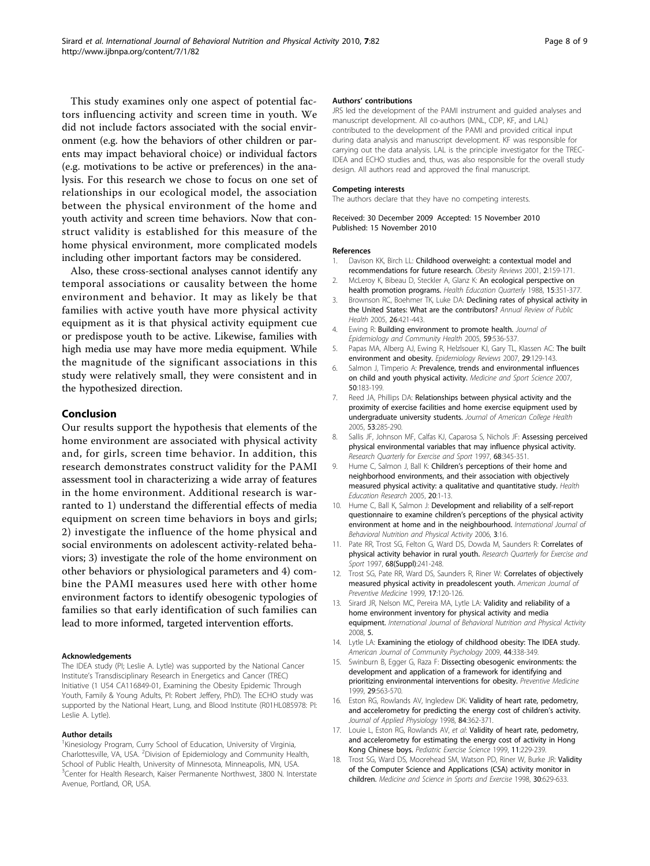<span id="page-7-0"></span>This study examines only one aspect of potential factors influencing activity and screen time in youth. We did not include factors associated with the social environment (e.g. how the behaviors of other children or parents may impact behavioral choice) or individual factors (e.g. motivations to be active or preferences) in the analysis. For this research we chose to focus on one set of relationships in our ecological model, the association between the physical environment of the home and youth activity and screen time behaviors. Now that construct validity is established for this measure of the home physical environment, more complicated models including other important factors may be considered.

Also, these cross-sectional analyses cannot identify any temporal associations or causality between the home environment and behavior. It may as likely be that families with active youth have more physical activity equipment as it is that physical activity equipment cue or predispose youth to be active. Likewise, families with high media use may have more media equipment. While the magnitude of the significant associations in this study were relatively small, they were consistent and in the hypothesized direction.

#### Conclusion

Our results support the hypothesis that elements of the home environment are associated with physical activity and, for girls, screen time behavior. In addition, this research demonstrates construct validity for the PAMI assessment tool in characterizing a wide array of features in the home environment. Additional research is warranted to 1) understand the differential effects of media equipment on screen time behaviors in boys and girls; 2) investigate the influence of the home physical and social environments on adolescent activity-related behaviors; 3) investigate the role of the home environment on other behaviors or physiological parameters and 4) combine the PAMI measures used here with other home environment factors to identify obesogenic typologies of families so that early identification of such families can lead to more informed, targeted intervention efforts.

#### Acknowledgements

The IDEA study (PI; Leslie A. Lytle) was supported by the National Cancer Institute's Transdisciplinary Research in Energetics and Cancer (TREC) Initiative (1 U54 CA116849-01, Examining the Obesity Epidemic Through Youth, Family & Young Adults, PI: Robert Jeffery, PhD). The ECHO study was supported by the National Heart, Lung, and Blood Institute (R01HL085978: PI: Leslie A. Lytle).

#### Author details

<sup>1</sup> Kinesiology Program, Curry School of Education, University of Virginia, Charlottesville, VA, USA. <sup>2</sup> Division of Epidemiology and Community Health, School of Public Health, University of Minnesota, Minneapolis, MN, USA. <sup>3</sup>Center for Health Research, Kaiser Permanente Northwest, 3800 N. Interstate Avenue, Portland, OR, USA.

#### Authors' contributions

JRS led the development of the PAMI instrument and guided analyses and manuscript development. All co-authors (MNL, CDP, KF, and LAL) contributed to the development of the PAMI and provided critical input during data analysis and manuscript development. KF was responsible for carrying out the data analysis. LAL is the principle investigator for the TREC-IDEA and ECHO studies and, thus, was also responsible for the overall study design. All authors read and approved the final manuscript.

#### Competing interests

The authors declare that they have no competing interests.

Received: 30 December 2009 Accepted: 15 November 2010 Published: 15 November 2010

#### References

- 1. Davison KK, Birch LL: [Childhood overweight: a contextual model and](http://www.ncbi.nlm.nih.gov/pubmed/12120101?dopt=Abstract) [recommendations for future research.](http://www.ncbi.nlm.nih.gov/pubmed/12120101?dopt=Abstract) Obesity Reviews 2001, 2:159-171.
- 2. McLeroy K, Bibeau D, Steckler A, Glanz K: [An ecological perspective on](http://www.ncbi.nlm.nih.gov/pubmed/3068205?dopt=Abstract) [health promotion programs.](http://www.ncbi.nlm.nih.gov/pubmed/3068205?dopt=Abstract) Health Education Quarterly 1988, 15:351-377.
- 3. Brownson RC, Boehmer TK, Luke DA: [Declining rates of physical activity in](http://www.ncbi.nlm.nih.gov/pubmed/15760296?dopt=Abstract) [the United States: What are the contributors?](http://www.ncbi.nlm.nih.gov/pubmed/15760296?dopt=Abstract) Annual Review of Public Health 2005, 26:421-443.
- 4. Ewing R: [Building environment to promote health.](http://www.ncbi.nlm.nih.gov/pubmed/15965131?dopt=Abstract) Journal of Epidemiology and Community Health 2005, 59:536-537.
- Papas MA, Alberg AJ, Ewing R, Helzlsouer KJ, Gary TL, Klassen AC: The built environment and obesity. Epidemiology Reviews 2007, 29:129-143.
- 6. Salmon J, Timperio A: [Prevalence, trends and environmental influences](http://www.ncbi.nlm.nih.gov/pubmed/17387258?dopt=Abstract) [on child and youth physical activity.](http://www.ncbi.nlm.nih.gov/pubmed/17387258?dopt=Abstract) Medicine and Sport Science 2007, 50:183-199.
- 7. Reed JA, Phillips DA: [Relationships between physical activity and the](http://www.ncbi.nlm.nih.gov/pubmed/15900992?dopt=Abstract) [proximity of exercise facilities and home exercise equipment used by](http://www.ncbi.nlm.nih.gov/pubmed/15900992?dopt=Abstract) [undergraduate university students.](http://www.ncbi.nlm.nih.gov/pubmed/15900992?dopt=Abstract) Journal of American College Health 2005, 53:285-290.
- 8. Sallis JF, Johnson MF, Calfas KJ, Caparosa S, Nichols JF: [Assessing perceived](http://www.ncbi.nlm.nih.gov/pubmed/9421846?dopt=Abstract) [physical environmental variables that may influence physical activity.](http://www.ncbi.nlm.nih.gov/pubmed/9421846?dopt=Abstract) Research Quarterly for Exercise and Sport 1997, 68:345-351.
- 9. Hume C, Salmon J, Ball K: Children'[s perceptions of their home and](http://www.ncbi.nlm.nih.gov/pubmed/15253992?dopt=Abstract) [neighborhood environments, and their association with objectively](http://www.ncbi.nlm.nih.gov/pubmed/15253992?dopt=Abstract) [measured physical activity: a qualitative and quantitative study.](http://www.ncbi.nlm.nih.gov/pubmed/15253992?dopt=Abstract) Health Education Research 2005, 20:1-13.
- 10. Hume C, Ball K, Salmon J: [Development and reliability of a self-report](http://www.ncbi.nlm.nih.gov/pubmed/16846519?dopt=Abstract) questionnaire to examine children'[s perceptions of the physical activity](http://www.ncbi.nlm.nih.gov/pubmed/16846519?dopt=Abstract) [environment at home and in the neighbourhood.](http://www.ncbi.nlm.nih.gov/pubmed/16846519?dopt=Abstract) International Journal of Behavioral Nutrition and Physical Activity 2006, 3:16.
- 11. Pate RR, Trost SG, Felton G, Ward DS, Dowda M, Saunders R: [Correlates of](http://www.ncbi.nlm.nih.gov/pubmed/9294878?dopt=Abstract) [physical activity behavior in rural youth.](http://www.ncbi.nlm.nih.gov/pubmed/9294878?dopt=Abstract) Research Quarterly for Exercise and Sport 1997, 68(Suppl):241-248.
- 12. Trost SG, Pate RR, Ward DS, Saunders R, Riner W: [Correlates of objectively](http://www.ncbi.nlm.nih.gov/pubmed/10490054?dopt=Abstract) [measured physical activity in preadolescent youth.](http://www.ncbi.nlm.nih.gov/pubmed/10490054?dopt=Abstract) American Journal of Preventive Medicine 1999, 17:120-126.
- 13. Sirard JR, Nelson MC, Pereira MA, Lytle LA: [Validity and reliability of a](http://www.ncbi.nlm.nih.gov/pubmed/18445280?dopt=Abstract) [home environment inventory for physical activity and media](http://www.ncbi.nlm.nih.gov/pubmed/18445280?dopt=Abstract) [equipment.](http://www.ncbi.nlm.nih.gov/pubmed/18445280?dopt=Abstract) International Journal of Behavioral Nutrition and Physical Activity 2008, 5.
- 14. Lytle LA: [Examining the etiology of childhood obesity: The IDEA study.](http://www.ncbi.nlm.nih.gov/pubmed/19838791?dopt=Abstract) American Journal of Community Psychology 2009, 44:338-349.
- 15. Swinburn B, Egger G, Raza F: [Dissecting obesogenic environments: the](http://www.ncbi.nlm.nih.gov/pubmed/10600438?dopt=Abstract) [development and application of a framework for identifying and](http://www.ncbi.nlm.nih.gov/pubmed/10600438?dopt=Abstract) [prioritizing environmental interventions for obesity.](http://www.ncbi.nlm.nih.gov/pubmed/10600438?dopt=Abstract) Preventive Medicine 1999, 29:563-570.
- 16. Eston RG, Rowlands AV, Ingledew DK: [Validity of heart rate, pedometry,](http://www.ncbi.nlm.nih.gov/pubmed/9451658?dopt=Abstract) [and accelerometry for predicting the energy cost of children](http://www.ncbi.nlm.nih.gov/pubmed/9451658?dopt=Abstract)'s activity. Journal of Applied Physiology 1998, 84:362-371.
- 17. Louie L, Eston RG, Rowlands AV, et al: Validity of heart rate, pedometry, and accelerometry for estimating the energy cost of activity in Hong Kong Chinese boys. Pediatric Exercise Science 1999, 11:229-239.
- 18. Trost SG, Ward DS, Moorehead SM, Watson PD, Riner W, Burke JR: [Validity](http://www.ncbi.nlm.nih.gov/pubmed/9565947?dopt=Abstract) [of the Computer Science and Applications \(CSA\) activity monitor in](http://www.ncbi.nlm.nih.gov/pubmed/9565947?dopt=Abstract) [children.](http://www.ncbi.nlm.nih.gov/pubmed/9565947?dopt=Abstract) Medicine and Science in Sports and Exercise 1998, 30:629-633.